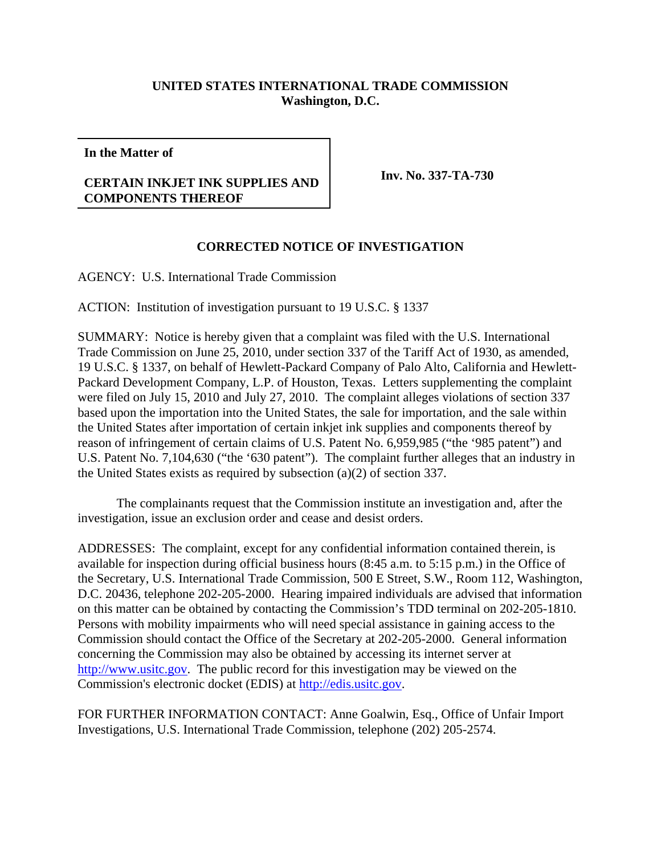## **UNITED STATES INTERNATIONAL TRADE COMMISSION Washington, D.C.**

**In the Matter of**

## **CERTAIN INKJET INK SUPPLIES AND COMPONENTS THEREOF**

**Inv. No. 337-TA-730**

## **CORRECTED NOTICE OF INVESTIGATION**

AGENCY: U.S. International Trade Commission

ACTION: Institution of investigation pursuant to 19 U.S.C. § 1337

SUMMARY: Notice is hereby given that a complaint was filed with the U.S. International Trade Commission on June 25, 2010, under section 337 of the Tariff Act of 1930, as amended, 19 U.S.C. § 1337, on behalf of Hewlett-Packard Company of Palo Alto, California and Hewlett-Packard Development Company, L.P. of Houston, Texas. Letters supplementing the complaint were filed on July 15, 2010 and July 27, 2010. The complaint alleges violations of section 337 based upon the importation into the United States, the sale for importation, and the sale within the United States after importation of certain inkjet ink supplies and components thereof by reason of infringement of certain claims of U.S. Patent No. 6,959,985 ("the '985 patent") and U.S. Patent No. 7,104,630 ("the '630 patent"). The complaint further alleges that an industry in the United States exists as required by subsection (a)(2) of section 337.

The complainants request that the Commission institute an investigation and, after the investigation, issue an exclusion order and cease and desist orders.

ADDRESSES: The complaint, except for any confidential information contained therein, is available for inspection during official business hours (8:45 a.m. to 5:15 p.m.) in the Office of the Secretary, U.S. International Trade Commission, 500 E Street, S.W., Room 112, Washington, D.C. 20436, telephone 202-205-2000. Hearing impaired individuals are advised that information on this matter can be obtained by contacting the Commission's TDD terminal on 202-205-1810. Persons with mobility impairments who will need special assistance in gaining access to the Commission should contact the Office of the Secretary at 202-205-2000. General information concerning the Commission may also be obtained by accessing its internet server at http://www.usitc.gov. The public record for this investigation may be viewed on the Commission's electronic docket (EDIS) at http://edis.usitc.gov.

FOR FURTHER INFORMATION CONTACT: Anne Goalwin, Esq., Office of Unfair Import Investigations, U.S. International Trade Commission, telephone (202) 205-2574.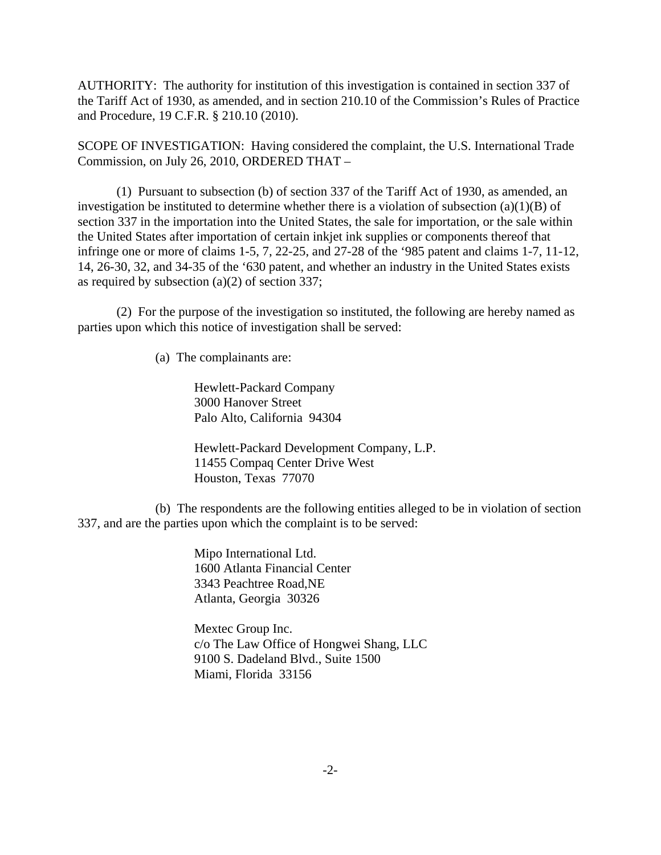AUTHORITY: The authority for institution of this investigation is contained in section 337 of the Tariff Act of 1930, as amended, and in section 210.10 of the Commission's Rules of Practice and Procedure, 19 C.F.R. § 210.10 (2010).

SCOPE OF INVESTIGATION: Having considered the complaint, the U.S. International Trade Commission, on July 26, 2010, ORDERED THAT –

(1) Pursuant to subsection (b) of section 337 of the Tariff Act of 1930, as amended, an investigation be instituted to determine whether there is a violation of subsection  $(a)(1)(B)$  of section 337 in the importation into the United States, the sale for importation, or the sale within the United States after importation of certain inkjet ink supplies or components thereof that infringe one or more of claims 1-5, 7, 22-25, and 27-28 of the '985 patent and claims 1-7, 11-12, 14, 26-30, 32, and 34-35 of the '630 patent, and whether an industry in the United States exists as required by subsection (a)(2) of section 337;

(2) For the purpose of the investigation so instituted, the following are hereby named as parties upon which this notice of investigation shall be served:

(a) The complainants are:

Hewlett-Packard Company 3000 Hanover Street Palo Alto, California 94304

Hewlett-Packard Development Company, L.P. 11455 Compaq Center Drive West Houston, Texas 77070

(b) The respondents are the following entities alleged to be in violation of section 337, and are the parties upon which the complaint is to be served:

> Mipo International Ltd. 1600 Atlanta Financial Center 3343 Peachtree Road,NE Atlanta, Georgia 30326

Mextec Group Inc. c/o The Law Office of Hongwei Shang, LLC 9100 S. Dadeland Blvd., Suite 1500 Miami, Florida 33156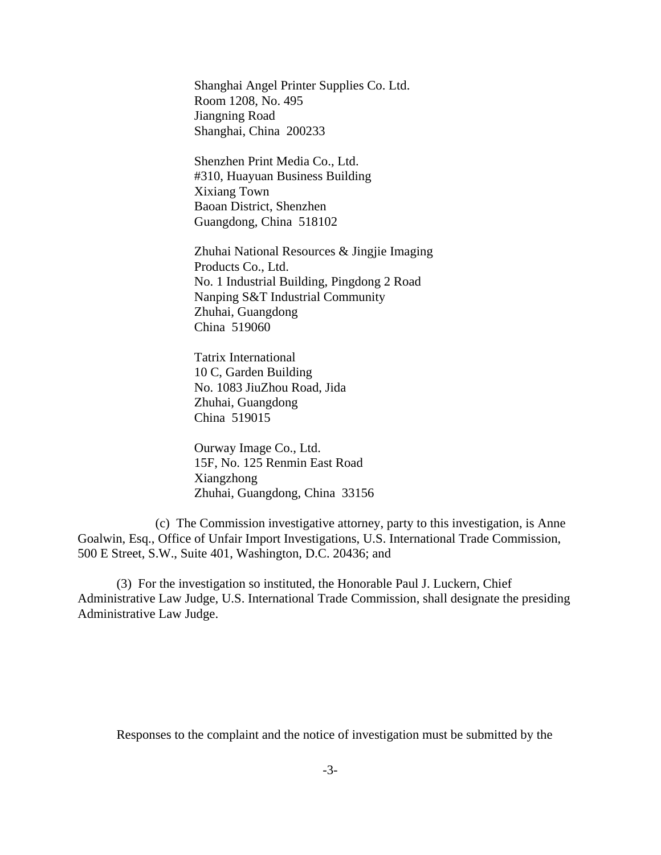Shanghai Angel Printer Supplies Co. Ltd. Room 1208, No. 495 Jiangning Road Shanghai, China 200233

Shenzhen Print Media Co., Ltd. #310, Huayuan Business Building Xixiang Town Baoan District, Shenzhen Guangdong, China 518102

Zhuhai National Resources & Jingjie Imaging Products Co., Ltd. No. 1 Industrial Building, Pingdong 2 Road Nanping S&T Industrial Community Zhuhai, Guangdong China 519060

Tatrix International 10 C, Garden Building No. 1083 JiuZhou Road, Jida Zhuhai, Guangdong China 519015

Ourway Image Co., Ltd. 15F, No. 125 Renmin East Road Xiangzhong Zhuhai, Guangdong, China 33156

(c) The Commission investigative attorney, party to this investigation, is Anne Goalwin, Esq., Office of Unfair Import Investigations, U.S. International Trade Commission, 500 E Street, S.W., Suite 401, Washington, D.C. 20436; and

(3) For the investigation so instituted, the Honorable Paul J. Luckern, Chief Administrative Law Judge, U.S. International Trade Commission, shall designate the presiding Administrative Law Judge.

Responses to the complaint and the notice of investigation must be submitted by the